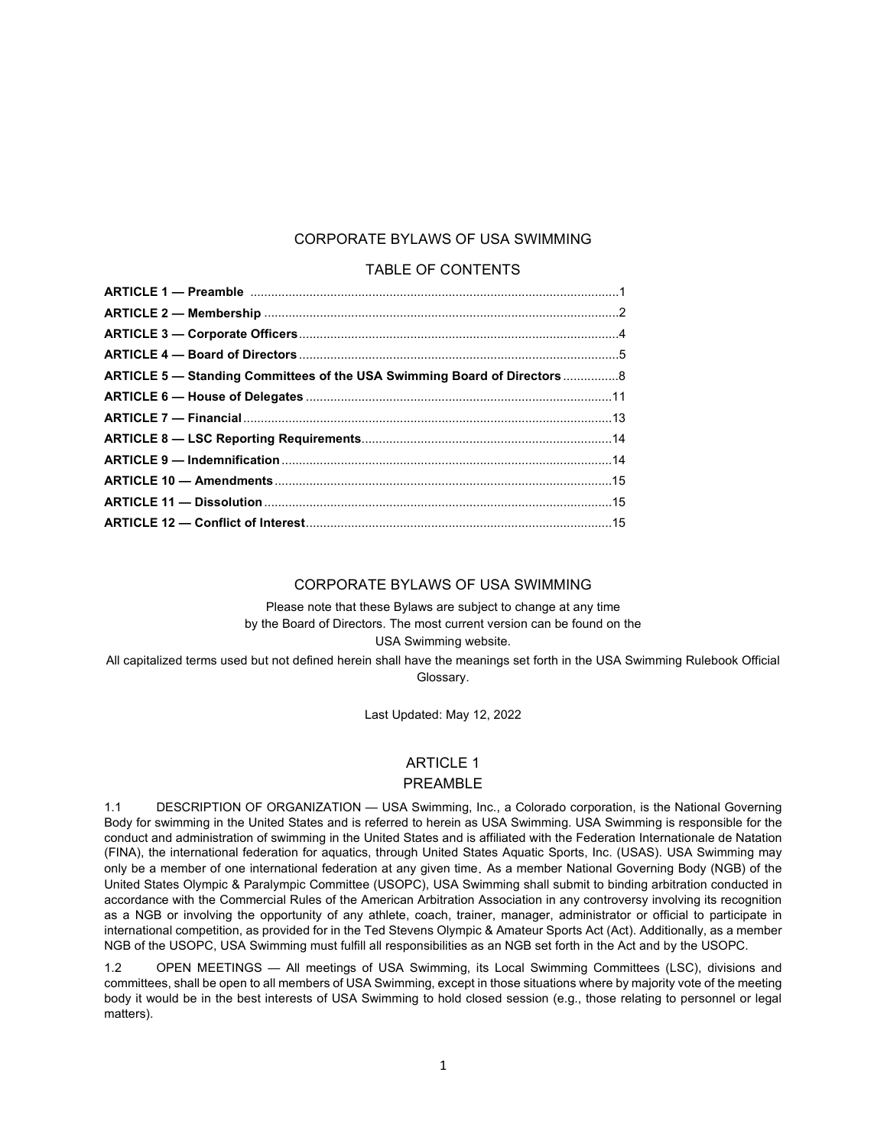## CORPORATE BYLAWS OF USA SWIMMING

#### TABLE OF CONTENTS

| ARTICLE 5 - Standing Committees of the USA Swimming Board of Directors 8 |  |
|--------------------------------------------------------------------------|--|
|                                                                          |  |
|                                                                          |  |
|                                                                          |  |
|                                                                          |  |
|                                                                          |  |
|                                                                          |  |
|                                                                          |  |

#### CORPORATE BYLAWS OF USA SWIMMING

Please note that these Bylaws are subject to change at any time by the Board of Directors. The most current version can be found on the USA Swimming website.

All capitalized terms used but not defined herein shall have the meanings set forth in the USA Swimming Rulebook Official Glossary.

Last Updated: May 12, 2022

# ARTICLE 1

# PREAMBLE

1.1 DESCRIPTION OF ORGANIZATION — USA Swimming, Inc., a Colorado corporation, is the National Governing Body for swimming in the United States and is referred to herein as USA Swimming. USA Swimming is responsible for the conduct and administration of swimming in the United States and is affiliated with the Federation Internationale de Natation (FINA), the international federation for aquatics, through United States Aquatic Sports, Inc. (USAS). USA Swimming may only be a member of one international federation at any given time. As a member National Governing Body (NGB) of the United States Olympic & Paralympic Committee (USOPC), USA Swimming shall submit to binding arbitration conducted in accordance with the Commercial Rules of the American Arbitration Association in any controversy involving its recognition as a NGB or involving the opportunity of any athlete, coach, trainer, manager, administrator or official to participate in international competition, as provided for in the Ted Stevens Olympic & Amateur Sports Act (Act). Additionally, as a member NGB of the USOPC, USA Swimming must fulfill all responsibilities as an NGB set forth in the Act and by the USOPC.

1.2 OPEN MEETINGS — All meetings of USA Swimming, its Local Swimming Committees (LSC), divisions and committees, shall be open to all members of USA Swimming, except in those situations where by majority vote of the meeting body it would be in the best interests of USA Swimming to hold closed session (e.g., those relating to personnel or legal matters).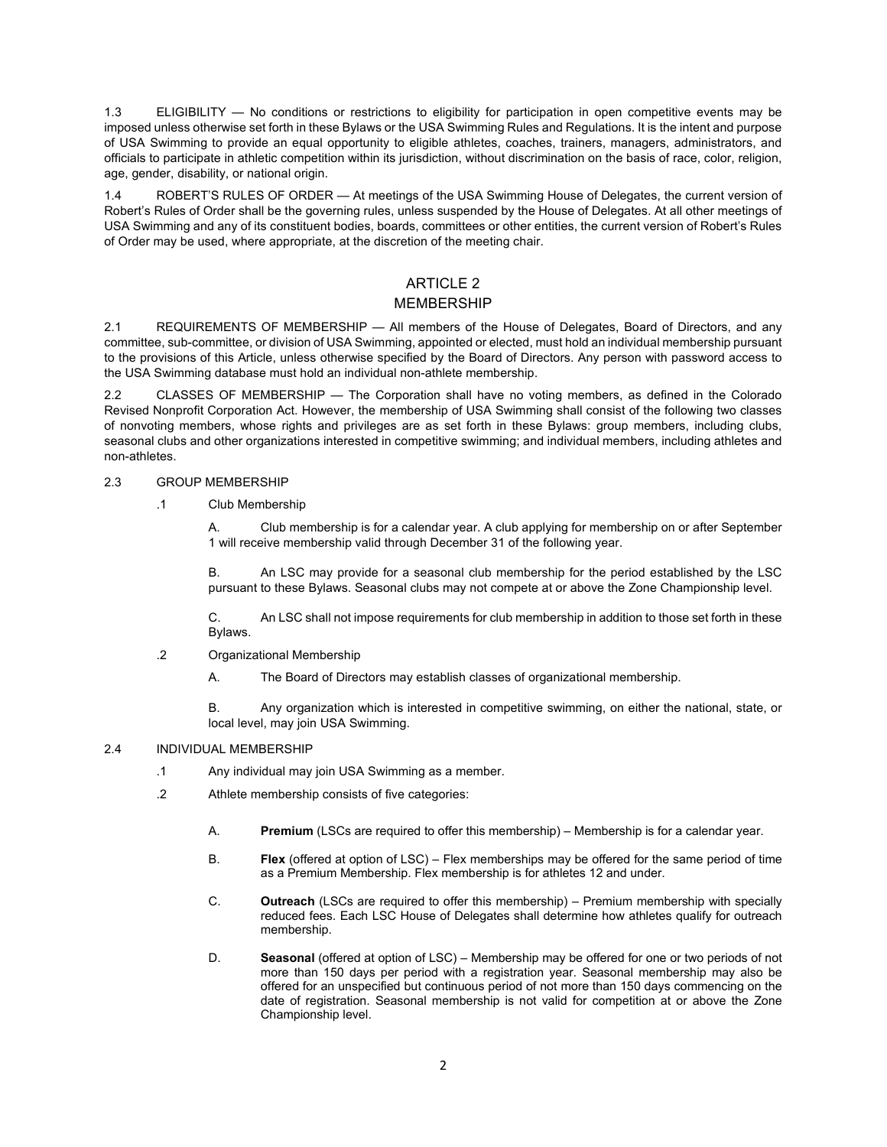1.3 ELIGIBILITY — No conditions or restrictions to eligibility for participation in open competitive events may be imposed unless otherwise set forth in these Bylaws or the USA Swimming Rules and Regulations. It is the intent and purpose of USA Swimming to provide an equal opportunity to eligible athletes, coaches, trainers, managers, administrators, and officials to participate in athletic competition within its jurisdiction, without discrimination on the basis of race, color, religion, age, gender, disability, or national origin.

1.4 ROBERT'S RULES OF ORDER — At meetings of the USA Swimming House of Delegates, the current version of Robert's Rules of Order shall be the governing rules, unless suspended by the House of Delegates. At all other meetings of USA Swimming and any of its constituent bodies, boards, committees or other entities, the current version of Robert's Rules of Order may be used, where appropriate, at the discretion of the meeting chair.

## ARTICLE 2 MEMBERSHIP

2.1 REQUIREMENTS OF MEMBERSHIP — All members of the House of Delegates, Board of Directors, and any committee, sub-committee, or division of USA Swimming, appointed or elected, must hold an individual membership pursuant to the provisions of this Article, unless otherwise specified by the Board of Directors. Any person with password access to the USA Swimming database must hold an individual non-athlete membership.

2.2 CLASSES OF MEMBERSHIP — The Corporation shall have no voting members, as defined in the Colorado Revised Nonprofit Corporation Act. However, the membership of USA Swimming shall consist of the following two classes of nonvoting members, whose rights and privileges are as set forth in these Bylaws: group members, including clubs, seasonal clubs and other organizations interested in competitive swimming; and individual members, including athletes and non-athletes.

#### 2.3 GROUP MEMBERSHIP

#### .1 Club Membership

A. Club membership is for a calendar year. A club applying for membership on or after September 1 will receive membership valid through December 31 of the following year.

B. An LSC may provide for a seasonal club membership for the period established by the LSC pursuant to these Bylaws. Seasonal clubs may not compete at or above the Zone Championship level.

C. An LSC shall not impose requirements for club membership in addition to those set forth in these Bylaws.

- .2 Organizational Membership
	- A. The Board of Directors may establish classes of organizational membership.

B. Any organization which is interested in competitive swimming, on either the national, state, or local level, may join USA Swimming.

#### 2.4 INDIVIDUAL MEMBERSHIP

- .1 Any individual may join USA Swimming as a member.
- .2 Athlete membership consists of five categories:
	- A. **Premium** (LSCs are required to offer this membership) Membership is for a calendar year.
	- B. **Flex** (offered at option of LSC) Flex memberships may be offered for the same period of time as a Premium Membership. Flex membership is for athletes 12 and under.
	- C. **Outreach** (LSCs are required to offer this membership) Premium membership with specially reduced fees. Each LSC House of Delegates shall determine how athletes qualify for outreach membership.
	- D. **Seasonal** (offered at option of LSC) Membership may be offered for one or two periods of not more than 150 days per period with a registration year. Seasonal membership may also be offered for an unspecified but continuous period of not more than 150 days commencing on the date of registration. Seasonal membership is not valid for competition at or above the Zone Championship level.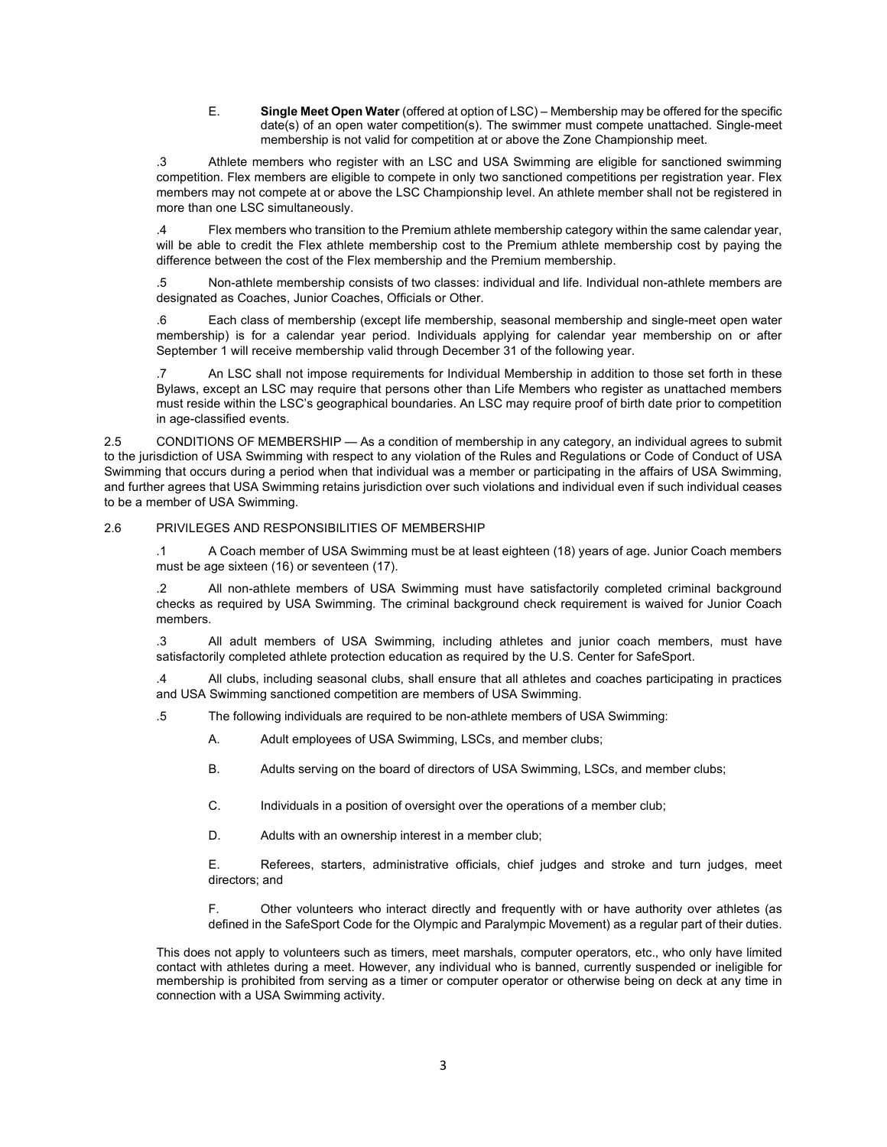E. **Single Meet Open Water** (offered at option of LSC) – Membership may be offered for the specific date(s) of an open water competition(s). The swimmer must compete unattached. Single-meet membership is not valid for competition at or above the Zone Championship meet.

.3 Athlete members who register with an LSC and USA Swimming are eligible for sanctioned swimming competition. Flex members are eligible to compete in only two sanctioned competitions per registration year. Flex members may not compete at or above the LSC Championship level. An athlete member shall not be registered in more than one LSC simultaneously.

.4 Flex members who transition to the Premium athlete membership category within the same calendar year, will be able to credit the Flex athlete membership cost to the Premium athlete membership cost by paying the difference between the cost of the Flex membership and the Premium membership.

.5 Non-athlete membership consists of two classes: individual and life. Individual non-athlete members are designated as Coaches, Junior Coaches, Officials or Other.

.6 Each class of membership (except life membership, seasonal membership and single-meet open water membership) is for a calendar year period. Individuals applying for calendar year membership on or after September 1 will receive membership valid through December 31 of the following year.

.7 An LSC shall not impose requirements for Individual Membership in addition to those set forth in these Bylaws, except an LSC may require that persons other than Life Members who register as unattached members must reside within the LSC's geographical boundaries. An LSC may require proof of birth date prior to competition in age-classified events.

2.5 CONDITIONS OF MEMBERSHIP — As a condition of membership in any category, an individual agrees to submit to the jurisdiction of USA Swimming with respect to any violation of the Rules and Regulations or Code of Conduct of USA Swimming that occurs during a period when that individual was a member or participating in the affairs of USA Swimming, and further agrees that USA Swimming retains jurisdiction over such violations and individual even if such individual ceases to be a member of USA Swimming.

#### 2.6 PRIVILEGES AND RESPONSIBILITIES OF MEMBERSHIP

.1 A Coach member of USA Swimming must be at least eighteen (18) years of age. Junior Coach members must be age sixteen (16) or seventeen (17).

.2 All non-athlete members of USA Swimming must have satisfactorily completed criminal background checks as required by USA Swimming. The criminal background check requirement is waived for Junior Coach members.

.3 All adult members of USA Swimming, including athletes and junior coach members, must have satisfactorily completed athlete protection education as required by the U.S. Center for SafeSport.

.4 All clubs, including seasonal clubs, shall ensure that all athletes and coaches participating in practices and USA Swimming sanctioned competition are members of USA Swimming.

.5 The following individuals are required to be non-athlete members of USA Swimming:

- A. Adult employees of USA Swimming, LSCs, and member clubs;
- B. Adults serving on the board of directors of USA Swimming, LSCs, and member clubs;
- C. Individuals in a position of oversight over the operations of a member club;
- D. Adults with an ownership interest in a member club;

E. Referees, starters, administrative officials, chief judges and stroke and turn judges, meet directors; and

F. Other volunteers who interact directly and frequently with or have authority over athletes (as defined in the SafeSport Code for the Olympic and Paralympic Movement) as a regular part of their duties.

This does not apply to volunteers such as timers, meet marshals, computer operators, etc., who only have limited contact with athletes during a meet. However, any individual who is banned, currently suspended or ineligible for membership is prohibited from serving as a timer or computer operator or otherwise being on deck at any time in connection with a USA Swimming activity.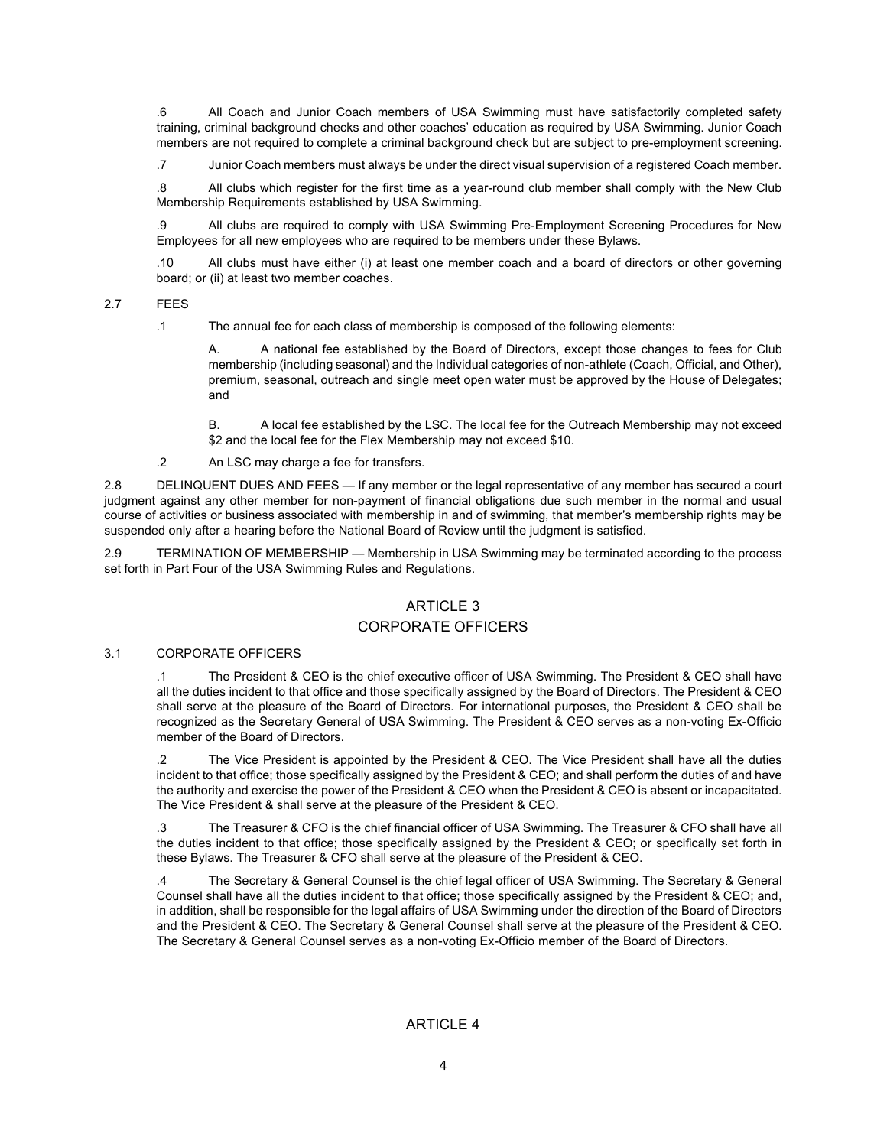.6 All Coach and Junior Coach members of USA Swimming must have satisfactorily completed safety training, criminal background checks and other coaches' education as required by USA Swimming. Junior Coach members are not required to complete a criminal background check but are subject to pre-employment screening.

.7 Junior Coach members must always be under the direct visual supervision of a registered Coach member.

.8 All clubs which register for the first time as a year-round club member shall comply with the New Club Membership Requirements established by USA Swimming.

.9 All clubs are required to comply with USA Swimming Pre-Employment Screening Procedures for New Employees for all new employees who are required to be members under these Bylaws.

.10 All clubs must have either (i) at least one member coach and a board of directors or other governing board; or (ii) at least two member coaches.

2.7 FEES

.1 The annual fee for each class of membership is composed of the following elements:

A. A national fee established by the Board of Directors, except those changes to fees for Club membership (including seasonal) and the Individual categories of non-athlete (Coach, Official, and Other), premium, seasonal, outreach and single meet open water must be approved by the House of Delegates; and

B. A local fee established by the LSC. The local fee for the Outreach Membership may not exceed \$2 and the local fee for the Flex Membership may not exceed \$10.

.2 An LSC may charge a fee for transfers.

2.8 DELINQUENT DUES AND FEES — If any member or the legal representative of any member has secured a court judgment against any other member for non-payment of financial obligations due such member in the normal and usual course of activities or business associated with membership in and of swimming, that member's membership rights may be suspended only after a hearing before the National Board of Review until the judgment is satisfied.

2.9 TERMINATION OF MEMBERSHIP — Membership in USA Swimming may be terminated according to the process set forth in Part Four of the USA Swimming Rules and Regulations.

## ARTICLE 3

#### CORPORATE OFFICERS

#### 3.1 CORPORATE OFFICERS

.1 The President & CEO is the chief executive officer of USA Swimming. The President & CEO shall have all the duties incident to that office and those specifically assigned by the Board of Directors. The President & CEO shall serve at the pleasure of the Board of Directors. For international purposes, the President & CEO shall be recognized as the Secretary General of USA Swimming. The President & CEO serves as a non-voting Ex-Officio member of the Board of Directors.

.2 The Vice President is appointed by the President & CEO. The Vice President shall have all the duties incident to that office; those specifically assigned by the President & CEO; and shall perform the duties of and have the authority and exercise the power of the President & CEO when the President & CEO is absent or incapacitated. The Vice President & shall serve at the pleasure of the President & CEO.

.3 The Treasurer & CFO is the chief financial officer of USA Swimming. The Treasurer & CFO shall have all the duties incident to that office; those specifically assigned by the President & CEO; or specifically set forth in these Bylaws. The Treasurer & CFO shall serve at the pleasure of the President & CEO.

.4 The Secretary & General Counsel is the chief legal officer of USA Swimming. The Secretary & General Counsel shall have all the duties incident to that office; those specifically assigned by the President & CEO; and, in addition, shall be responsible for the legal affairs of USA Swimming under the direction of the Board of Directors and the President & CEO. The Secretary & General Counsel shall serve at the pleasure of the President & CEO. The Secretary & General Counsel serves as a non-voting Ex-Officio member of the Board of Directors.

## ARTICLE 4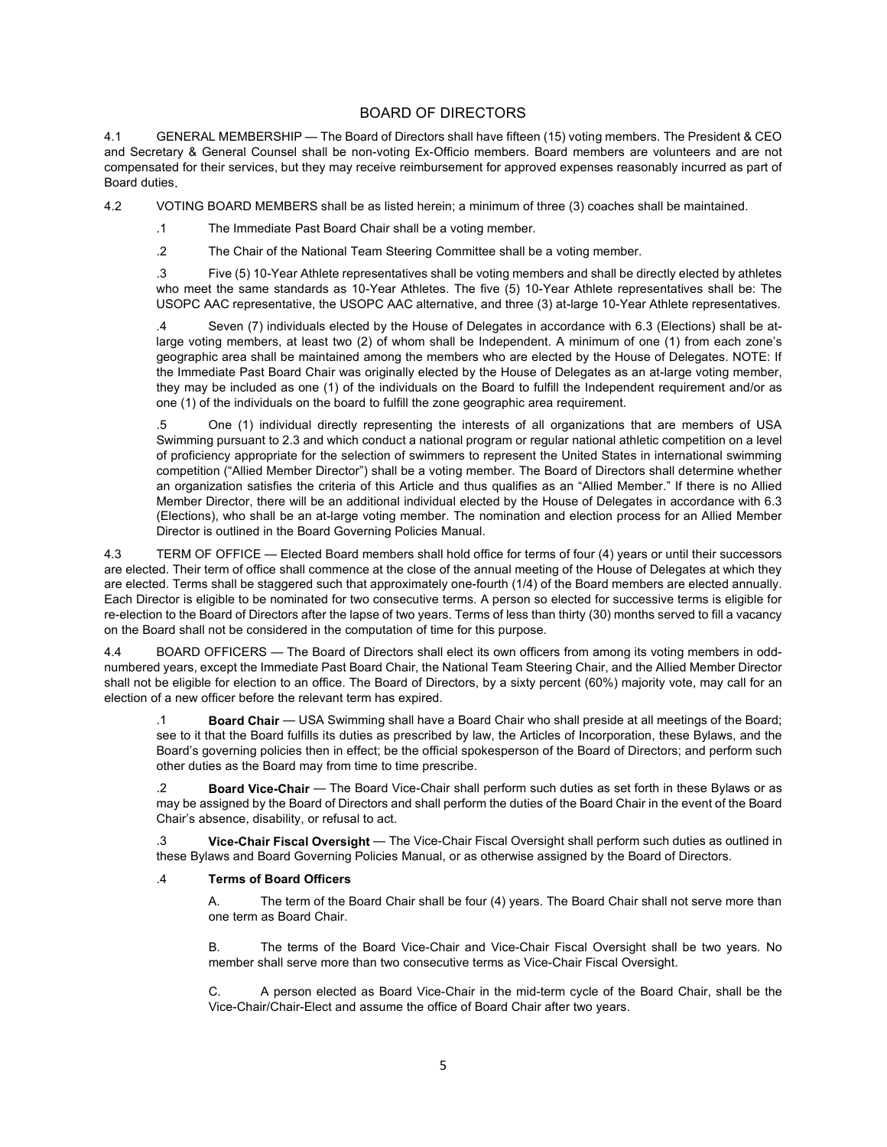## BOARD OF DIRECTORS

4.1 GENERAL MEMBERSHIP — The Board of Directors shall have fifteen (15) voting members. The President & CEO and Secretary & General Counsel shall be non-voting Ex-Officio members. Board members are volunteers and are not compensated for their services, but they may receive reimbursement for approved expenses reasonably incurred as part of Board duties.

4.2 VOTING BOARD MEMBERS shall be as listed herein; a minimum of three (3) coaches shall be maintained.

.1 The Immediate Past Board Chair shall be a voting member.

.2 The Chair of the National Team Steering Committee shall be a voting member.

.3 Five (5) 10-Year Athlete representatives shall be voting members and shall be directly elected by athletes who meet the same standards as 10-Year Athletes. The five (5) 10-Year Athlete representatives shall be: The USOPC AAC representative, the USOPC AAC alternative, and three (3) at-large 10-Year Athlete representatives.

Seven (7) individuals elected by the House of Delegates in accordance with 6.3 (Elections) shall be atlarge voting members, at least two (2) of whom shall be Independent. A minimum of one (1) from each zone's geographic area shall be maintained among the members who are elected by the House of Delegates. NOTE: If the Immediate Past Board Chair was originally elected by the House of Delegates as an at-large voting member, they may be included as one (1) of the individuals on the Board to fulfill the Independent requirement and/or as one (1) of the individuals on the board to fulfill the zone geographic area requirement.

.5 One (1) individual directly representing the interests of all organizations that are members of USA Swimming pursuant to 2.3 and which conduct a national program or regular national athletic competition on a level of proficiency appropriate for the selection of swimmers to represent the United States in international swimming competition ("Allied Member Director") shall be a voting member. The Board of Directors shall determine whether an organization satisfies the criteria of this Article and thus qualifies as an "Allied Member." If there is no Allied Member Director, there will be an additional individual elected by the House of Delegates in accordance with 6.3 (Elections), who shall be an at-large voting member. The nomination and election process for an Allied Member Director is outlined in the Board Governing Policies Manual.

4.3 TERM OF OFFICE — Elected Board members shall hold office for terms of four (4) years or until their successors are elected. Their term of office shall commence at the close of the annual meeting of the House of Delegates at which they are elected. Terms shall be staggered such that approximately one-fourth (1/4) of the Board members are elected annually. Each Director is eligible to be nominated for two consecutive terms. A person so elected for successive terms is eligible for re-election to the Board of Directors after the lapse of two years. Terms of less than thirty (30) months served to fill a vacancy on the Board shall not be considered in the computation of time for this purpose.

4.4 BOARD OFFICERS — The Board of Directors shall elect its own officers from among its voting members in oddnumbered years, except the Immediate Past Board Chair, the National Team Steering Chair, and the Allied Member Director shall not be eligible for election to an office. The Board of Directors, by a sixty percent (60%) majority vote, may call for an election of a new officer before the relevant term has expired.

.1 **Board Chair** — USA Swimming shall have a Board Chair who shall preside at all meetings of the Board; see to it that the Board fulfills its duties as prescribed by law, the Articles of Incorporation, these Bylaws, and the Board's governing policies then in effect; be the official spokesperson of the Board of Directors; and perform such other duties as the Board may from time to time prescribe.

.2 **Board Vice-Chair** — The Board Vice-Chair shall perform such duties as set forth in these Bylaws or as may be assigned by the Board of Directors and shall perform the duties of the Board Chair in the event of the Board Chair's absence, disability, or refusal to act.

.3 **Vice-Chair Fiscal Oversight** — The Vice-Chair Fiscal Oversight shall perform such duties as outlined in these Bylaws and Board Governing Policies Manual, or as otherwise assigned by the Board of Directors.

#### .4 **Terms of Board Officers**

A. The term of the Board Chair shall be four (4) years. The Board Chair shall not serve more than one term as Board Chair.

B. The terms of the Board Vice-Chair and Vice-Chair Fiscal Oversight shall be two years. No member shall serve more than two consecutive terms as Vice-Chair Fiscal Oversight.

C. A person elected as Board Vice-Chair in the mid-term cycle of the Board Chair, shall be the Vice-Chair/Chair-Elect and assume the office of Board Chair after two years.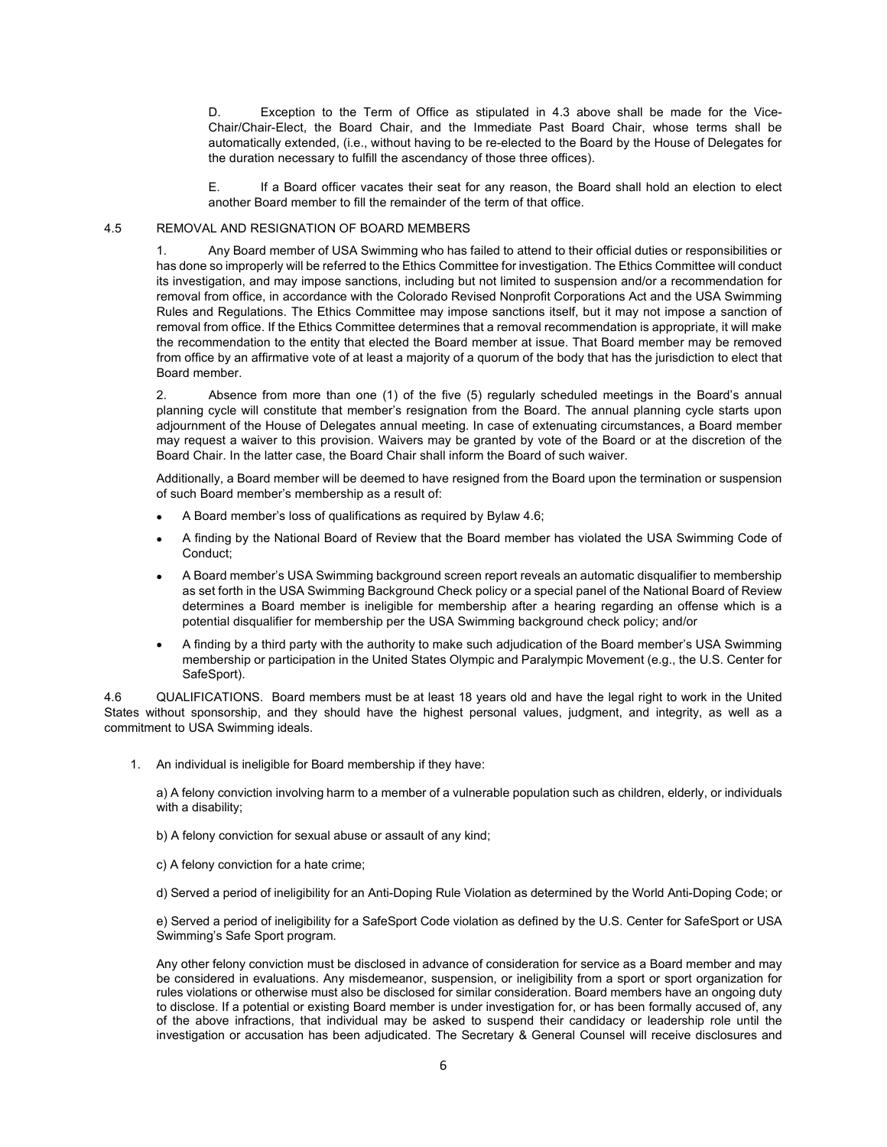D. Exception to the Term of Office as stipulated in 4.3 above shall be made for the Vice-Chair/Chair-Elect, the Board Chair, and the Immediate Past Board Chair, whose terms shall be automatically extended, (i.e., without having to be re-elected to the Board by the House of Delegates for the duration necessary to fulfill the ascendancy of those three offices).

E. If a Board officer vacates their seat for any reason, the Board shall hold an election to elect another Board member to fill the remainder of the term of that office.

## 4.5 REMOVAL AND RESIGNATION OF BOARD MEMBERS

1. Any Board member of USA Swimming who has failed to attend to their official duties or responsibilities or has done so improperly will be referred to the Ethics Committee for investigation. The Ethics Committee will conduct its investigation, and may impose sanctions, including but not limited to suspension and/or a recommendation for removal from office, in accordance with the Colorado Revised Nonprofit Corporations Act and the USA Swimming Rules and Regulations. The Ethics Committee may impose sanctions itself, but it may not impose a sanction of removal from office. If the Ethics Committee determines that a removal recommendation is appropriate, it will make the recommendation to the entity that elected the Board member at issue. That Board member may be removed from office by an affirmative vote of at least a majority of a quorum of the body that has the jurisdiction to elect that Board member.

2. Absence from more than one (1) of the five (5) regularly scheduled meetings in the Board's annual planning cycle will constitute that member's resignation from the Board. The annual planning cycle starts upon adjournment of the House of Delegates annual meeting. In case of extenuating circumstances, a Board member may request a waiver to this provision. Waivers may be granted by vote of the Board or at the discretion of the Board Chair. In the latter case, the Board Chair shall inform the Board of such waiver.

Additionally, a Board member will be deemed to have resigned from the Board upon the termination or suspension of such Board member's membership as a result of:

- A Board member's loss of qualifications as required by Bylaw 4.6;
- A finding by the National Board of Review that the Board member has violated the USA Swimming Code of Conduct;
- A Board member's USA Swimming background screen report reveals an automatic disqualifier to membership as set forth in the USA Swimming Background Check policy or a special panel of the National Board of Review determines a Board member is ineligible for membership after a hearing regarding an offense which is a potential disqualifier for membership per the USA Swimming background check policy; and/or
- A finding by a third party with the authority to make such adjudication of the Board member's USA Swimming membership or participation in the United States Olympic and Paralympic Movement (e.g., the U.S. Center for SafeSport).

4.6 QUALIFICATIONS. Board members must be at least 18 years old and have the legal right to work in the United States without sponsorship, and they should have the highest personal values, judgment, and integrity, as well as a commitment to USA Swimming ideals.

1. An individual is ineligible for Board membership if they have:

a) A felony conviction involving harm to a member of a vulnerable population such as children, elderly, or individuals with a disability;

b) A felony conviction for sexual abuse or assault of any kind;

c) A felony conviction for a hate crime;

d) Served a period of ineligibility for an Anti-Doping Rule Violation as determined by the World Anti-Doping Code; or

e) Served a period of ineligibility for a SafeSport Code violation as defined by the U.S. Center for SafeSport or USA Swimming's Safe Sport program.

Any other felony conviction must be disclosed in advance of consideration for service as a Board member and may be considered in evaluations. Any misdemeanor, suspension, or ineligibility from a sport or sport organization for rules violations or otherwise must also be disclosed for similar consideration. Board members have an ongoing duty to disclose. If a potential or existing Board member is under investigation for, or has been formally accused of, any of the above infractions, that individual may be asked to suspend their candidacy or leadership role until the investigation or accusation has been adjudicated. The Secretary & General Counsel will receive disclosures and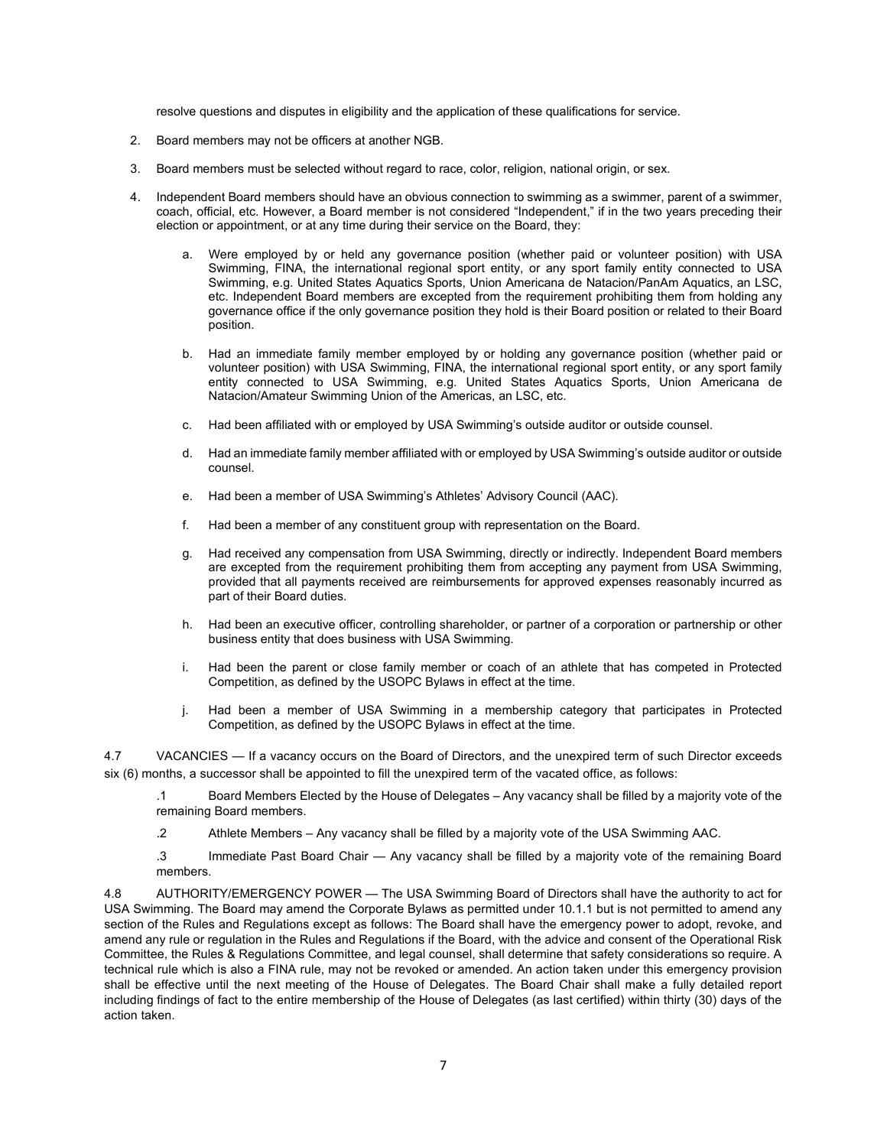resolve questions and disputes in eligibility and the application of these qualifications for service.

- 2. Board members may not be officers at another NGB.
- 3. Board members must be selected without regard to race, color, religion, national origin, or sex.
- 4. Independent Board members should have an obvious connection to swimming as a swimmer, parent of a swimmer, coach, official, etc. However, a Board member is not considered "Independent," if in the two years preceding their election or appointment, or at any time during their service on the Board, they:
	- a. Were employed by or held any governance position (whether paid or volunteer position) with USA Swimming, FINA, the international regional sport entity, or any sport family entity connected to USA Swimming, e.g. United States Aquatics Sports, Union Americana de Natacion/PanAm Aquatics, an LSC, etc. Independent Board members are excepted from the requirement prohibiting them from holding any governance office if the only governance position they hold is their Board position or related to their Board position.
	- b. Had an immediate family member employed by or holding any governance position (whether paid or volunteer position) with USA Swimming, FINA, the international regional sport entity, or any sport family entity connected to USA Swimming, e.g. United States Aquatics Sports, Union Americana de Natacion/Amateur Swimming Union of the Americas, an LSC, etc.
	- c. Had been affiliated with or employed by USA Swimming's outside auditor or outside counsel.
	- d. Had an immediate family member affiliated with or employed by USA Swimming's outside auditor or outside counsel.
	- e. Had been a member of USA Swimming's Athletes' Advisory Council (AAC).
	- f. Had been a member of any constituent group with representation on the Board.
	- g. Had received any compensation from USA Swimming, directly or indirectly. Independent Board members are excepted from the requirement prohibiting them from accepting any payment from USA Swimming, provided that all payments received are reimbursements for approved expenses reasonably incurred as part of their Board duties.
	- h. Had been an executive officer, controlling shareholder, or partner of a corporation or partnership or other business entity that does business with USA Swimming.
	- i. Had been the parent or close family member or coach of an athlete that has competed in Protected Competition, as defined by the USOPC Bylaws in effect at the time.
	- j. Had been a member of USA Swimming in a membership category that participates in Protected Competition, as defined by the USOPC Bylaws in effect at the time.

4.7 VACANCIES — If a vacancy occurs on the Board of Directors, and the unexpired term of such Director exceeds six (6) months, a successor shall be appointed to fill the unexpired term of the vacated office, as follows:

.1 Board Members Elected by the House of Delegates – Any vacancy shall be filled by a majority vote of the remaining Board members.

.2 Athlete Members – Any vacancy shall be filled by a majority vote of the USA Swimming AAC.

.3 Immediate Past Board Chair — Any vacancy shall be filled by a majority vote of the remaining Board members.

4.8 AUTHORITY/EMERGENCY POWER — The USA Swimming Board of Directors shall have the authority to act for USA Swimming. The Board may amend the Corporate Bylaws as permitted under 10.1.1 but is not permitted to amend any section of the Rules and Regulations except as follows: The Board shall have the emergency power to adopt, revoke, and amend any rule or regulation in the Rules and Regulations if the Board, with the advice and consent of the Operational Risk Committee, the Rules & Regulations Committee, and legal counsel, shall determine that safety considerations so require. A technical rule which is also a FINA rule, may not be revoked or amended. An action taken under this emergency provision shall be effective until the next meeting of the House of Delegates. The Board Chair shall make a fully detailed report including findings of fact to the entire membership of the House of Delegates (as last certified) within thirty (30) days of the action taken.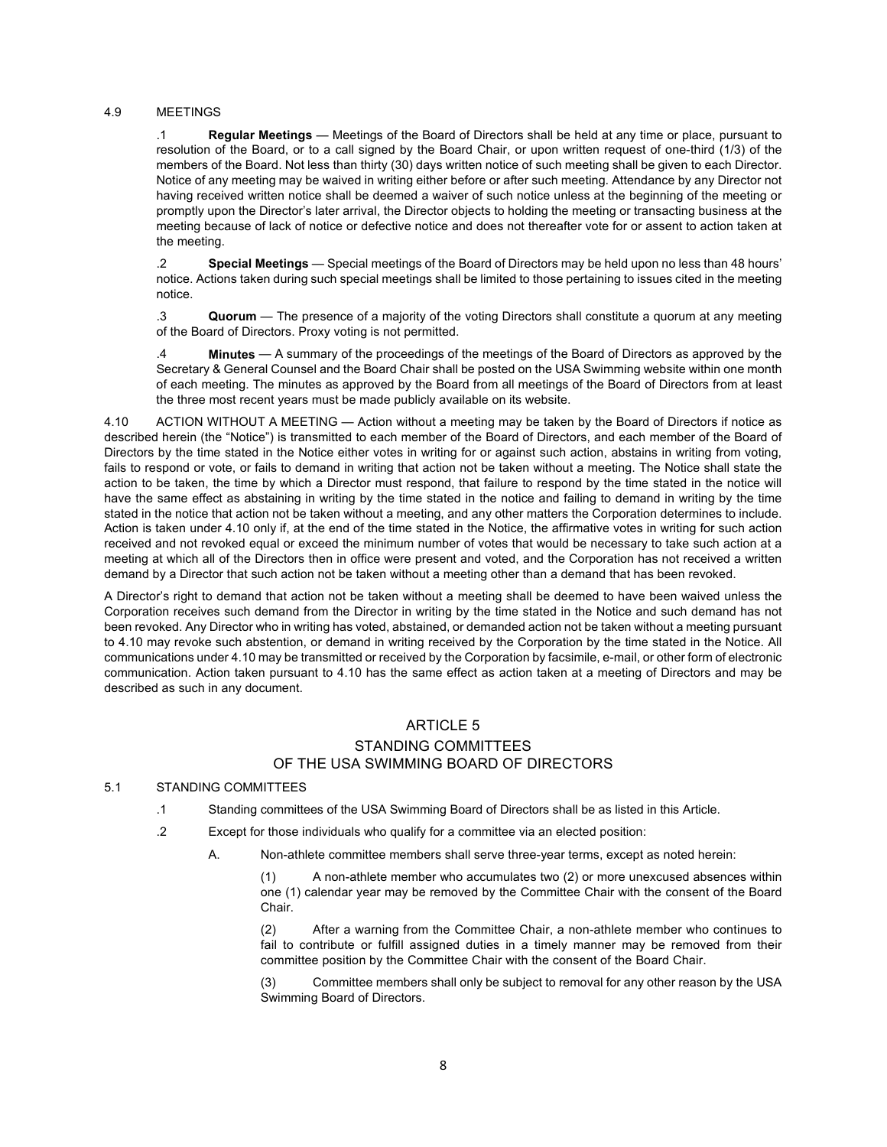#### 4.9 MEETINGS

.1 **Regular Meetings** — Meetings of the Board of Directors shall be held at any time or place, pursuant to resolution of the Board, or to a call signed by the Board Chair, or upon written request of one-third (1/3) of the members of the Board. Not less than thirty (30) days written notice of such meeting shall be given to each Director. Notice of any meeting may be waived in writing either before or after such meeting. Attendance by any Director not having received written notice shall be deemed a waiver of such notice unless at the beginning of the meeting or promptly upon the Director's later arrival, the Director objects to holding the meeting or transacting business at the meeting because of lack of notice or defective notice and does not thereafter vote for or assent to action taken at the meeting.

.2 **Special Meetings** — Special meetings of the Board of Directors may be held upon no less than 48 hours' notice. Actions taken during such special meetings shall be limited to those pertaining to issues cited in the meeting notice.

.3 **Quorum** — The presence of a majority of the voting Directors shall constitute a quorum at any meeting of the Board of Directors. Proxy voting is not permitted.

.4 **Minutes** — A summary of the proceedings of the meetings of the Board of Directors as approved by the Secretary & General Counsel and the Board Chair shall be posted on the USA Swimming website within one month of each meeting. The minutes as approved by the Board from all meetings of the Board of Directors from at least the three most recent years must be made publicly available on its website.

4.10 ACTION WITHOUT A MEETING — Action without a meeting may be taken by the Board of Directors if notice as described herein (the "Notice") is transmitted to each member of the Board of Directors, and each member of the Board of Directors by the time stated in the Notice either votes in writing for or against such action, abstains in writing from voting, fails to respond or vote, or fails to demand in writing that action not be taken without a meeting. The Notice shall state the action to be taken, the time by which a Director must respond, that failure to respond by the time stated in the notice will have the same effect as abstaining in writing by the time stated in the notice and failing to demand in writing by the time stated in the notice that action not be taken without a meeting, and any other matters the Corporation determines to include. Action is taken under 4.10 only if, at the end of the time stated in the Notice, the affirmative votes in writing for such action received and not revoked equal or exceed the minimum number of votes that would be necessary to take such action at a meeting at which all of the Directors then in office were present and voted, and the Corporation has not received a written demand by a Director that such action not be taken without a meeting other than a demand that has been revoked.

A Director's right to demand that action not be taken without a meeting shall be deemed to have been waived unless the Corporation receives such demand from the Director in writing by the time stated in the Notice and such demand has not been revoked. Any Director who in writing has voted, abstained, or demanded action not be taken without a meeting pursuant to 4.10 may revoke such abstention, or demand in writing received by the Corporation by the time stated in the Notice. All communications under 4.10 may be transmitted or received by the Corporation by facsimile, e-mail, or other form of electronic communication. Action taken pursuant to 4.10 has the same effect as action taken at a meeting of Directors and may be described as such in any document.

## ARTICLE 5 STANDING COMMITTEES OF THE USA SWIMMING BOARD OF DIRECTORS

#### 5.1 STANDING COMMITTEES

- .1 Standing committees of the USA Swimming Board of Directors shall be as listed in this Article.
- .2 Except for those individuals who qualify for a committee via an elected position:
	- A. Non-athlete committee members shall serve three-year terms, except as noted herein:

(1) A non-athlete member who accumulates two (2) or more unexcused absences within one (1) calendar year may be removed by the Committee Chair with the consent of the Board Chair.

(2) After a warning from the Committee Chair, a non-athlete member who continues to fail to contribute or fulfill assigned duties in a timely manner may be removed from their committee position by the Committee Chair with the consent of the Board Chair.

(3) Committee members shall only be subject to removal for any other reason by the USA Swimming Board of Directors.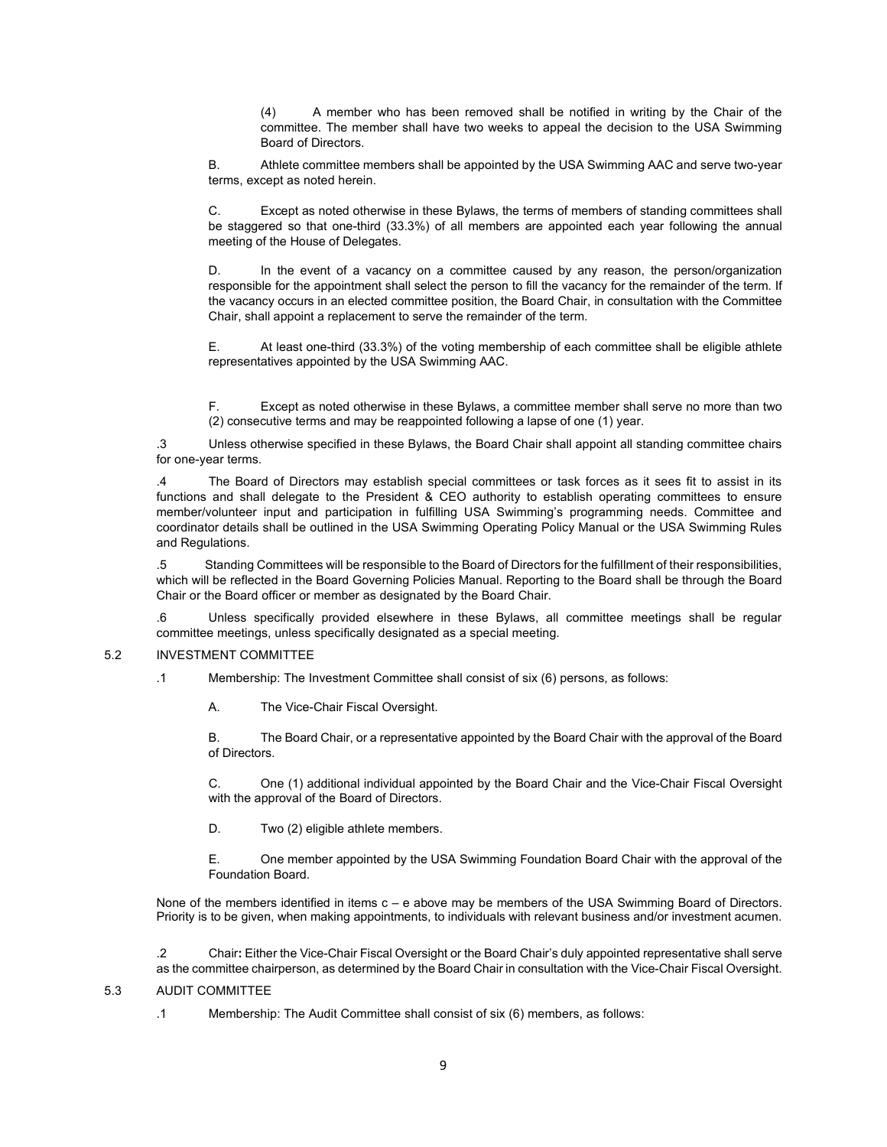(4) A member who has been removed shall be notified in writing by the Chair of the committee. The member shall have two weeks to appeal the decision to the USA Swimming Board of Directors.

B. Athlete committee members shall be appointed by the USA Swimming AAC and serve two-year terms, except as noted herein.

Except as noted otherwise in these Bylaws, the terms of members of standing committees shall be staggered so that one-third (33.3%) of all members are appointed each year following the annual meeting of the House of Delegates.

D. In the event of a vacancy on a committee caused by any reason, the person/organization responsible for the appointment shall select the person to fill the vacancy for the remainder of the term. If the vacancy occurs in an elected committee position, the Board Chair, in consultation with the Committee Chair, shall appoint a replacement to serve the remainder of the term.

E. At least one-third (33.3%) of the voting membership of each committee shall be eligible athlete representatives appointed by the USA Swimming AAC.

F. Except as noted otherwise in these Bylaws, a committee member shall serve no more than two (2) consecutive terms and may be reappointed following a lapse of one (1) year.

.3 Unless otherwise specified in these Bylaws, the Board Chair shall appoint all standing committee chairs for one-year terms.

.4 The Board of Directors may establish special committees or task forces as it sees fit to assist in its functions and shall delegate to the President & CEO authority to establish operating committees to ensure member/volunteer input and participation in fulfilling USA Swimming's programming needs. Committee and coordinator details shall be outlined in the USA Swimming Operating Policy Manual or the USA Swimming Rules and Regulations.

.5 Standing Committees will be responsible to the Board of Directors for the fulfillment of their responsibilities, which will be reflected in the Board Governing Policies Manual. Reporting to the Board shall be through the Board Chair or the Board officer or member as designated by the Board Chair.

.6 Unless specifically provided elsewhere in these Bylaws, all committee meetings shall be regular committee meetings, unless specifically designated as a special meeting.

#### 5.2 INVESTMENT COMMITTEE

.1 Membership: The Investment Committee shall consist of six (6) persons, as follows:

A. The Vice-Chair Fiscal Oversight.

B. The Board Chair, or a representative appointed by the Board Chair with the approval of the Board of Directors.

C. One (1) additional individual appointed by the Board Chair and the Vice-Chair Fiscal Oversight with the approval of the Board of Directors.

D. Two (2) eligible athlete members.

E. One member appointed by the USA Swimming Foundation Board Chair with the approval of the Foundation Board.

None of the members identified in items c – e above may be members of the USA Swimming Board of Directors. Priority is to be given, when making appointments, to individuals with relevant business and/or investment acumen.

.2 Chair**:** Either the Vice-Chair Fiscal Oversight or the Board Chair's duly appointed representative shall serve as the committee chairperson, as determined by the Board Chair in consultation with the Vice-Chair Fiscal Oversight.

#### 5.3 AUDIT COMMITTEE

.1 Membership: The Audit Committee shall consist of six (6) members, as follows: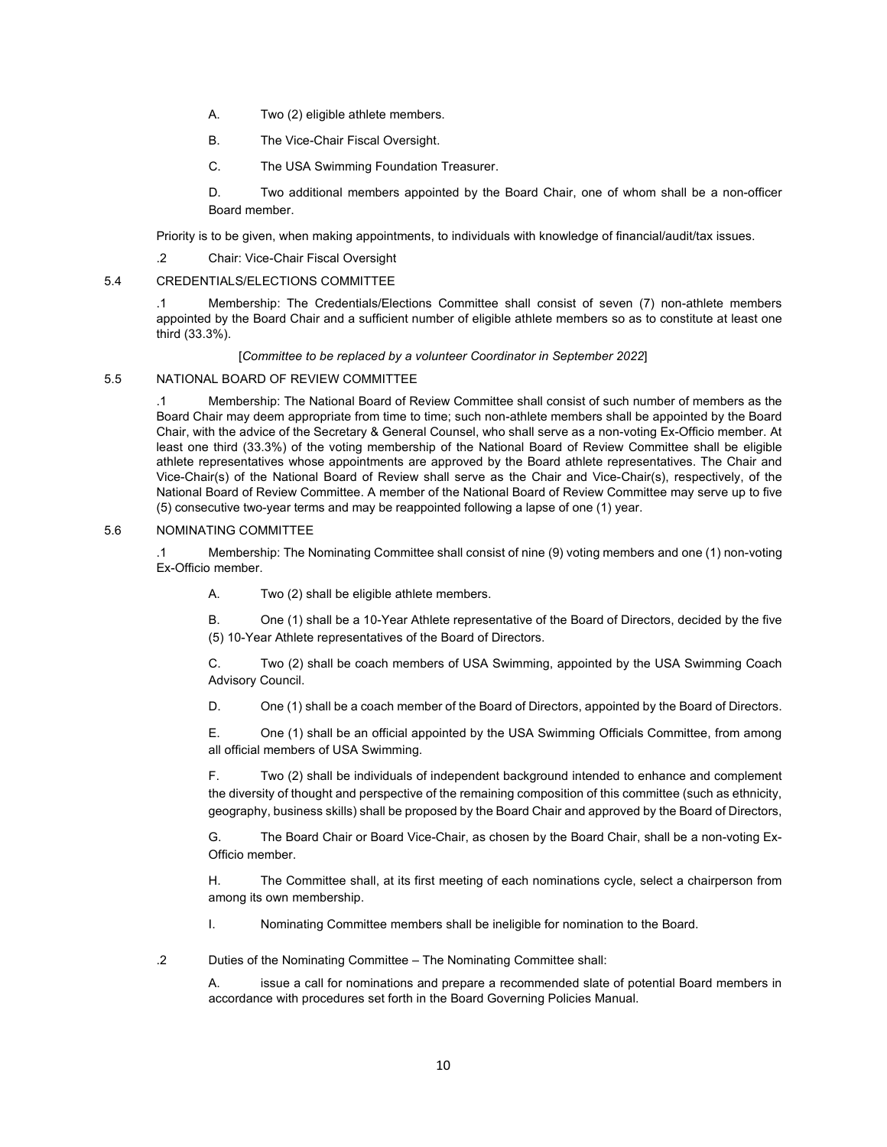- A. Two (2) eligible athlete members.
- B. The Vice-Chair Fiscal Oversight.
- C. The USA Swimming Foundation Treasurer.

D. Two additional members appointed by the Board Chair, one of whom shall be a non-officer Board member.

Priority is to be given, when making appointments, to individuals with knowledge of financial/audit/tax issues.

.2 Chair: Vice-Chair Fiscal Oversight

## 5.4 CREDENTIALS/ELECTIONS COMMITTEE

.1 Membership: The Credentials/Elections Committee shall consist of seven (7) non-athlete members appointed by the Board Chair and a sufficient number of eligible athlete members so as to constitute at least one third (33.3%).

## [*Committee to be replaced by a volunteer Coordinator in September 2022*]

#### 5.5 NATIONAL BOARD OF REVIEW COMMITTEE

.1 Membership: The National Board of Review Committee shall consist of such number of members as the Board Chair may deem appropriate from time to time; such non-athlete members shall be appointed by the Board Chair, with the advice of the Secretary & General Counsel, who shall serve as a non-voting Ex-Officio member. At least one third (33.3%) of the voting membership of the National Board of Review Committee shall be eligible athlete representatives whose appointments are approved by the Board athlete representatives. The Chair and Vice-Chair(s) of the National Board of Review shall serve as the Chair and Vice-Chair(s), respectively, of the National Board of Review Committee. A member of the National Board of Review Committee may serve up to five (5) consecutive two-year terms and may be reappointed following a lapse of one (1) year.

#### 5.6 NOMINATING COMMITTEE

.1 Membership: The Nominating Committee shall consist of nine (9) voting members and one (1) non-voting Ex-Officio member.

A. Two (2) shall be eligible athlete members.

B. One (1) shall be a 10-Year Athlete representative of the Board of Directors, decided by the five (5) 10-Year Athlete representatives of the Board of Directors.

C. Two (2) shall be coach members of USA Swimming, appointed by the USA Swimming Coach Advisory Council.

D. One (1) shall be a coach member of the Board of Directors, appointed by the Board of Directors.

E. One (1) shall be an official appointed by the USA Swimming Officials Committee, from among all official members of USA Swimming.

F. Two (2) shall be individuals of independent background intended to enhance and complement the diversity of thought and perspective of the remaining composition of this committee (such as ethnicity, geography, business skills) shall be proposed by the Board Chair and approved by the Board of Directors,

G. The Board Chair or Board Vice-Chair, as chosen by the Board Chair, shall be a non-voting Ex-Officio member.

H. The Committee shall, at its first meeting of each nominations cycle, select a chairperson from among its own membership.

I. Nominating Committee members shall be ineligible for nomination to the Board.

.2 Duties of the Nominating Committee – The Nominating Committee shall:

A. issue a call for nominations and prepare a recommended slate of potential Board members in accordance with procedures set forth in the Board Governing Policies Manual.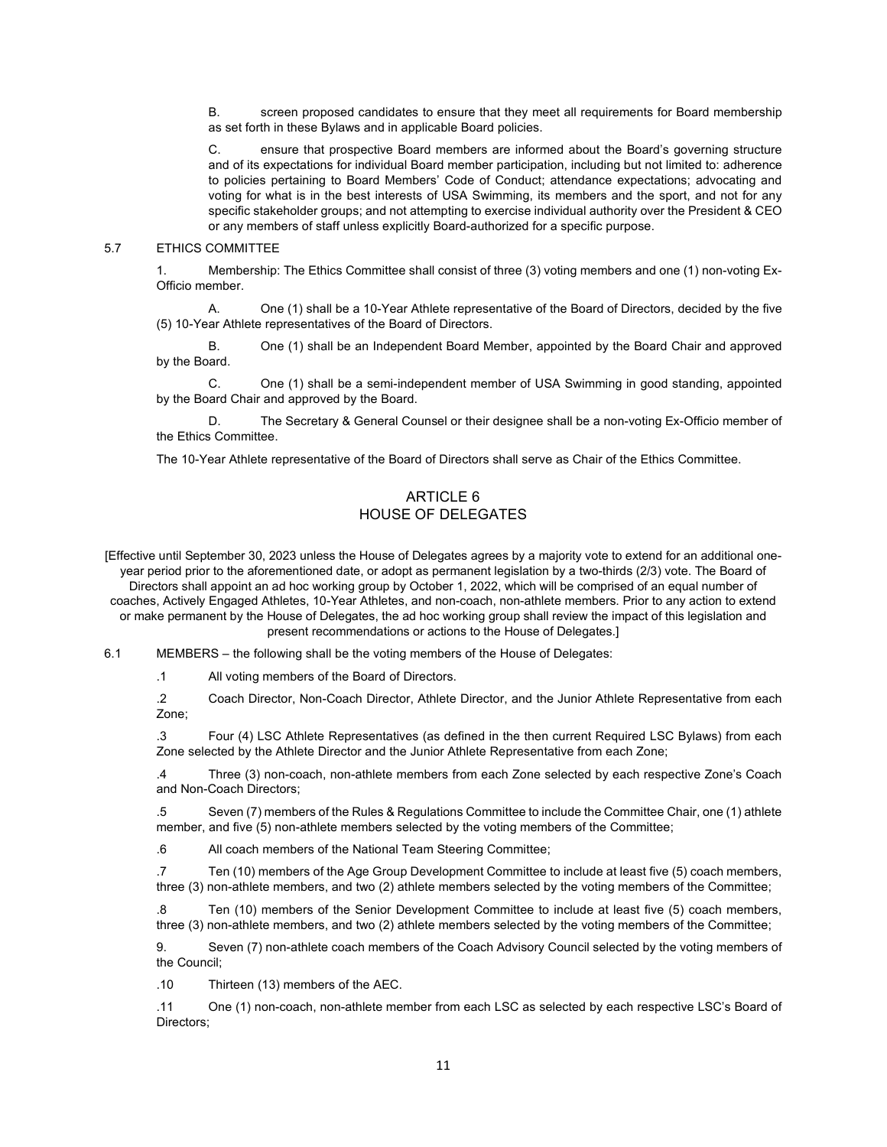B. screen proposed candidates to ensure that they meet all requirements for Board membership as set forth in these Bylaws and in applicable Board policies.

C. ensure that prospective Board members are informed about the Board's governing structure and of its expectations for individual Board member participation, including but not limited to: adherence to policies pertaining to Board Members' Code of Conduct; attendance expectations; advocating and voting for what is in the best interests of USA Swimming, its members and the sport, and not for any specific stakeholder groups; and not attempting to exercise individual authority over the President & CEO or any members of staff unless explicitly Board-authorized for a specific purpose.

#### 5.7 ETHICS COMMITTEE

1. Membership: The Ethics Committee shall consist of three (3) voting members and one (1) non-voting Ex-Officio member.

A. One (1) shall be a 10-Year Athlete representative of the Board of Directors, decided by the five (5) 10-Year Athlete representatives of the Board of Directors.

B. One (1) shall be an Independent Board Member, appointed by the Board Chair and approved by the Board.

C. One (1) shall be a semi-independent member of USA Swimming in good standing, appointed by the Board Chair and approved by the Board.

D. The Secretary & General Counsel or their designee shall be a non-voting Ex-Officio member of the Ethics Committee.

The 10-Year Athlete representative of the Board of Directors shall serve as Chair of the Ethics Committee.

## ARTICLE 6 HOUSE OF DELEGATES

[Effective until September 30, 2023 unless the House of Delegates agrees by a majority vote to extend for an additional oneyear period prior to the aforementioned date, or adopt as permanent legislation by a two-thirds (2/3) vote. The Board of

Directors shall appoint an ad hoc working group by October 1, 2022, which will be comprised of an equal number of coaches, Actively Engaged Athletes, 10-Year Athletes, and non-coach, non-athlete members. Prior to any action to extend or make permanent by the House of Delegates, the ad hoc working group shall review the impact of this legislation and present recommendations or actions to the House of Delegates.]

6.1 MEMBERS – the following shall be the voting members of the House of Delegates:

.1 All voting members of the Board of Directors.

.2 Coach Director, Non-Coach Director, Athlete Director, and the Junior Athlete Representative from each Zone;

.3 Four (4) LSC Athlete Representatives (as defined in the then current Required LSC Bylaws) from each Zone selected by the Athlete Director and the Junior Athlete Representative from each Zone;

.4 Three (3) non-coach, non-athlete members from each Zone selected by each respective Zone's Coach and Non-Coach Directors;

.5 Seven (7) members of the Rules & Regulations Committee to include the Committee Chair, one (1) athlete member, and five (5) non-athlete members selected by the voting members of the Committee;

.6 All coach members of the National Team Steering Committee;

.7 Ten (10) members of the Age Group Development Committee to include at least five (5) coach members, three (3) non-athlete members, and two (2) athlete members selected by the voting members of the Committee;

.8 Ten (10) members of the Senior Development Committee to include at least five (5) coach members, three (3) non-athlete members, and two (2) athlete members selected by the voting members of the Committee;

9. Seven (7) non-athlete coach members of the Coach Advisory Council selected by the voting members of the Council;

.10 Thirteen (13) members of the AEC.

.11 One (1) non-coach, non-athlete member from each LSC as selected by each respective LSC's Board of Directors;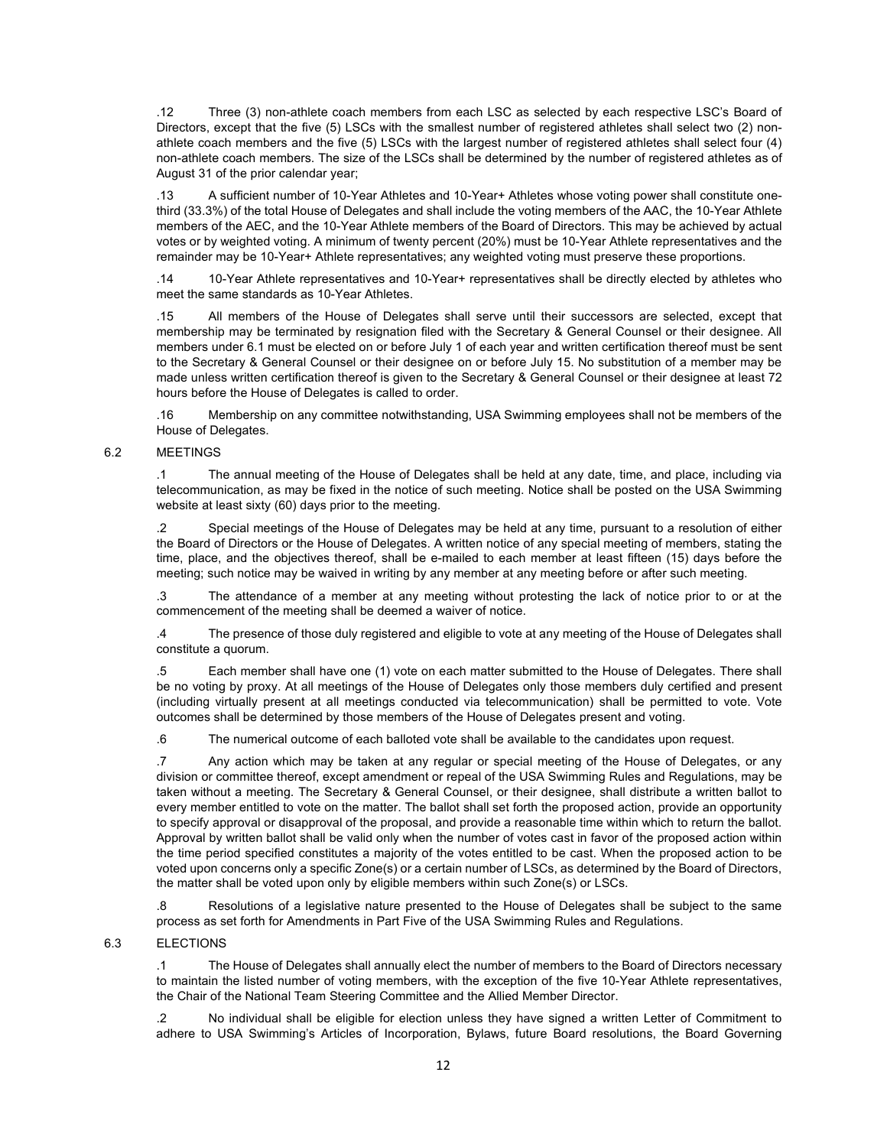.12 Three (3) non-athlete coach members from each LSC as selected by each respective LSC's Board of Directors, except that the five (5) LSCs with the smallest number of registered athletes shall select two (2) nonathlete coach members and the five (5) LSCs with the largest number of registered athletes shall select four (4) non-athlete coach members. The size of the LSCs shall be determined by the number of registered athletes as of August 31 of the prior calendar year;

.13 A sufficient number of 10-Year Athletes and 10-Year+ Athletes whose voting power shall constitute onethird (33.3%) of the total House of Delegates and shall include the voting members of the AAC, the 10-Year Athlete members of the AEC, and the 10-Year Athlete members of the Board of Directors. This may be achieved by actual votes or by weighted voting. A minimum of twenty percent (20%) must be 10-Year Athlete representatives and the remainder may be 10-Year+ Athlete representatives; any weighted voting must preserve these proportions.

.14 10-Year Athlete representatives and 10-Year+ representatives shall be directly elected by athletes who meet the same standards as 10-Year Athletes.

.15 All members of the House of Delegates shall serve until their successors are selected, except that membership may be terminated by resignation filed with the Secretary & General Counsel or their designee. All members under 6.1 must be elected on or before July 1 of each year and written certification thereof must be sent to the Secretary & General Counsel or their designee on or before July 15. No substitution of a member may be made unless written certification thereof is given to the Secretary & General Counsel or their designee at least 72 hours before the House of Delegates is called to order.

.16 Membership on any committee notwithstanding, USA Swimming employees shall not be members of the House of Delegates.

#### 6.2 MEETINGS

.1 The annual meeting of the House of Delegates shall be held at any date, time, and place, including via telecommunication, as may be fixed in the notice of such meeting. Notice shall be posted on the USA Swimming website at least sixty (60) days prior to the meeting.

.2 Special meetings of the House of Delegates may be held at any time, pursuant to a resolution of either the Board of Directors or the House of Delegates. A written notice of any special meeting of members, stating the time, place, and the objectives thereof, shall be e-mailed to each member at least fifteen (15) days before the meeting; such notice may be waived in writing by any member at any meeting before or after such meeting.

.3 The attendance of a member at any meeting without protesting the lack of notice prior to or at the commencement of the meeting shall be deemed a waiver of notice.

.4 The presence of those duly registered and eligible to vote at any meeting of the House of Delegates shall constitute a quorum.

.5 Each member shall have one (1) vote on each matter submitted to the House of Delegates. There shall be no voting by proxy. At all meetings of the House of Delegates only those members duly certified and present (including virtually present at all meetings conducted via telecommunication) shall be permitted to vote. Vote outcomes shall be determined by those members of the House of Delegates present and voting.

.6 The numerical outcome of each balloted vote shall be available to the candidates upon request.

.7 Any action which may be taken at any regular or special meeting of the House of Delegates, or any division or committee thereof, except amendment or repeal of the USA Swimming Rules and Regulations, may be taken without a meeting. The Secretary & General Counsel, or their designee, shall distribute a written ballot to every member entitled to vote on the matter. The ballot shall set forth the proposed action, provide an opportunity to specify approval or disapproval of the proposal, and provide a reasonable time within which to return the ballot. Approval by written ballot shall be valid only when the number of votes cast in favor of the proposed action within the time period specified constitutes a majority of the votes entitled to be cast. When the proposed action to be voted upon concerns only a specific Zone(s) or a certain number of LSCs, as determined by the Board of Directors, the matter shall be voted upon only by eligible members within such Zone(s) or LSCs.

.8 Resolutions of a legislative nature presented to the House of Delegates shall be subject to the same process as set forth for Amendments in Part Five of the USA Swimming Rules and Regulations.

#### 6.3 ELECTIONS

.1 The House of Delegates shall annually elect the number of members to the Board of Directors necessary to maintain the listed number of voting members, with the exception of the five 10-Year Athlete representatives, the Chair of the National Team Steering Committee and the Allied Member Director.

.2 No individual shall be eligible for election unless they have signed a written Letter of Commitment to adhere to USA Swimming's Articles of Incorporation, Bylaws, future Board resolutions, the Board Governing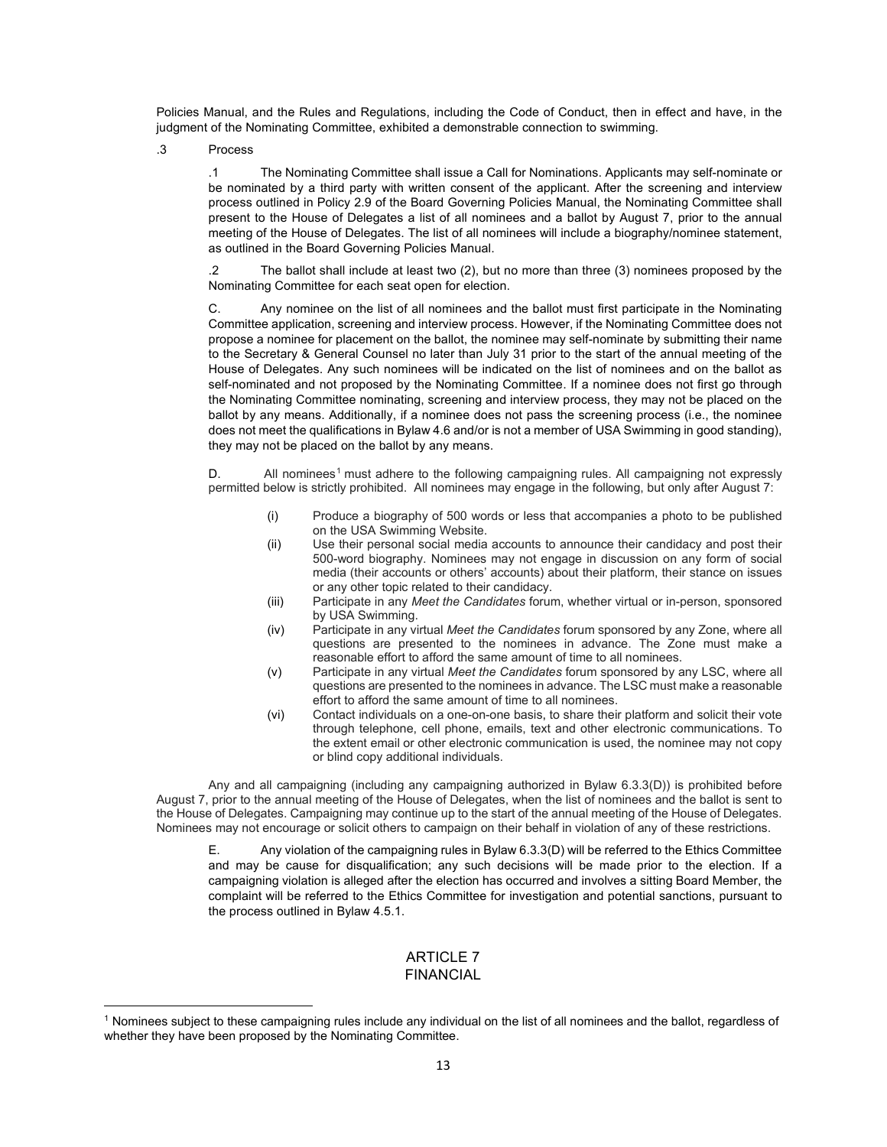Policies Manual, and the Rules and Regulations, including the Code of Conduct, then in effect and have, in the judgment of the Nominating Committee, exhibited a demonstrable connection to swimming.

.3 Process

.1 The Nominating Committee shall issue a Call for Nominations. Applicants may self-nominate or be nominated by a third party with written consent of the applicant. After the screening and interview process outlined in Policy 2.9 of the Board Governing Policies Manual, the Nominating Committee shall present to the House of Delegates a list of all nominees and a ballot by August 7, prior to the annual meeting of the House of Delegates. The list of all nominees will include a biography/nominee statement, as outlined in the Board Governing Policies Manual.

.2 The ballot shall include at least two (2), but no more than three (3) nominees proposed by the Nominating Committee for each seat open for election.

C. Any nominee on the list of all nominees and the ballot must first participate in the Nominating Committee application, screening and interview process. However, if the Nominating Committee does not propose a nominee for placement on the ballot, the nominee may self-nominate by submitting their name to the Secretary & General Counsel no later than July 31 prior to the start of the annual meeting of the House of Delegates. Any such nominees will be indicated on the list of nominees and on the ballot as self-nominated and not proposed by the Nominating Committee. If a nominee does not first go through the Nominating Committee nominating, screening and interview process, they may not be placed on the ballot by any means. Additionally, if a nominee does not pass the screening process (i.e., the nominee does not meet the qualifications in Bylaw 4.6 and/or is not a member of USA Swimming in good standing), they may not be placed on the ballot by any means.

D. All nominees<sup>[1](#page-12-0)</sup> must adhere to the following campaigning rules. All campaigning not expressly permitted below is strictly prohibited. All nominees may engage in the following, but only after August 7:

- (i) Produce a biography of 500 words or less that accompanies a photo to be published on the USA Swimming Website.
- (ii) Use their personal social media accounts to announce their candidacy and post their 500-word biography. Nominees may not engage in discussion on any form of social media (their accounts or others' accounts) about their platform, their stance on issues or any other topic related to their candidacy.
- (iii) Participate in any *Meet the Candidates* forum, whether virtual or in-person, sponsored by USA Swimming.
- (iv) Participate in any virtual *Meet the Candidates* forum sponsored by any Zone, where all questions are presented to the nominees in advance. The Zone must make a reasonable effort to afford the same amount of time to all nominees.
- (v) Participate in any virtual *Meet the Candidates* forum sponsored by any LSC, where all questions are presented to the nominees in advance. The LSC must make a reasonable effort to afford the same amount of time to all nominees.
- (vi) Contact individuals on a one-on-one basis, to share their platform and solicit their vote through telephone, cell phone, emails, text and other electronic communications. To the extent email or other electronic communication is used, the nominee may not copy or blind copy additional individuals.

Any and all campaigning (including any campaigning authorized in Bylaw 6.3.3(D)) is prohibited before August 7, prior to the annual meeting of the House of Delegates, when the list of nominees and the ballot is sent to the House of Delegates. Campaigning may continue up to the start of the annual meeting of the House of Delegates. Nominees may not encourage or solicit others to campaign on their behalf in violation of any of these restrictions.

E. Any violation of the campaigning rules in Bylaw 6.3.3(D) will be referred to the Ethics Committee and may be cause for disqualification; any such decisions will be made prior to the election. If a campaigning violation is alleged after the election has occurred and involves a sitting Board Member, the complaint will be referred to the Ethics Committee for investigation and potential sanctions, pursuant to the process outlined in Bylaw 4.5.1.

## ARTICLE 7 FINANCIAL

<span id="page-12-0"></span><sup>1</sup> Nominees subject to these campaigning rules include any individual on the list of all nominees and the ballot, regardless of whether they have been proposed by the Nominating Committee.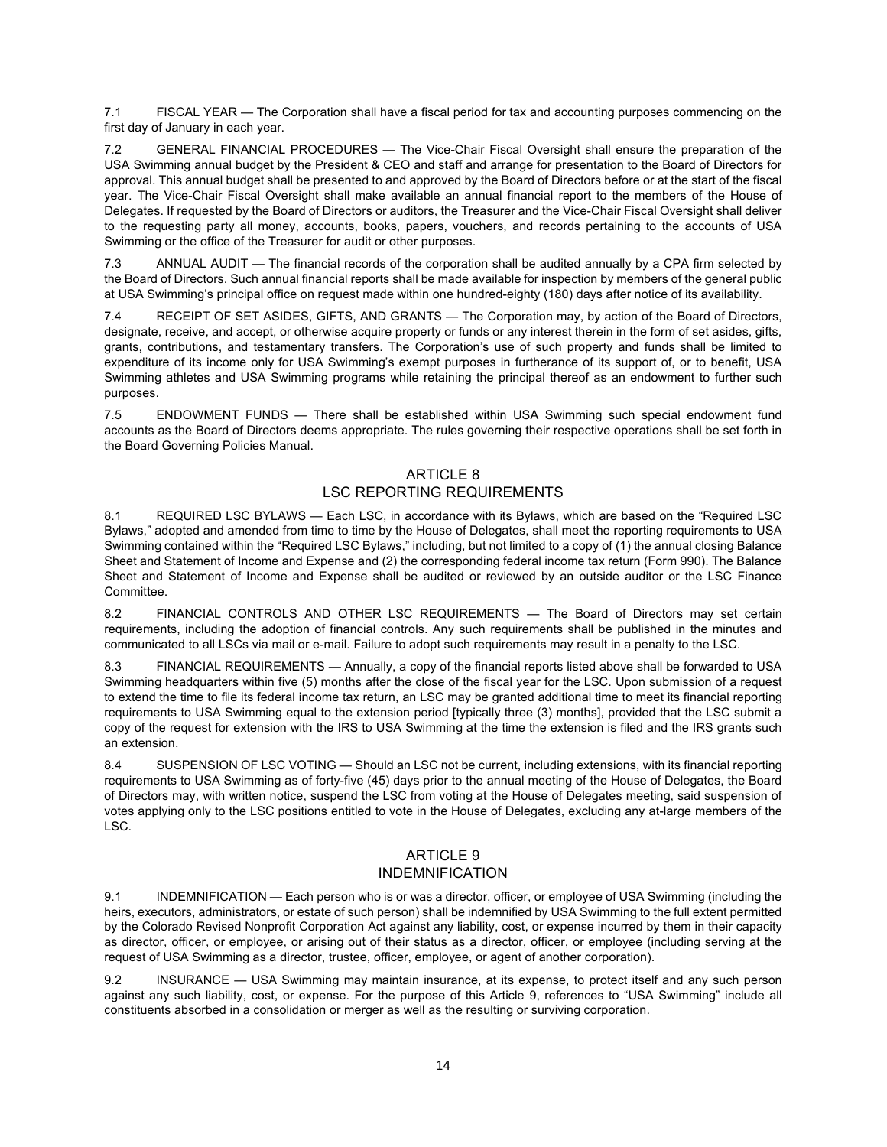7.1 FISCAL YEAR — The Corporation shall have a fiscal period for tax and accounting purposes commencing on the first day of January in each year.

7.2 GENERAL FINANCIAL PROCEDURES — The Vice-Chair Fiscal Oversight shall ensure the preparation of the USA Swimming annual budget by the President & CEO and staff and arrange for presentation to the Board of Directors for approval. This annual budget shall be presented to and approved by the Board of Directors before or at the start of the fiscal year. The Vice-Chair Fiscal Oversight shall make available an annual financial report to the members of the House of Delegates. If requested by the Board of Directors or auditors, the Treasurer and the Vice-Chair Fiscal Oversight shall deliver to the requesting party all money, accounts, books, papers, vouchers, and records pertaining to the accounts of USA Swimming or the office of the Treasurer for audit or other purposes.

7.3 ANNUAL AUDIT — The financial records of the corporation shall be audited annually by a CPA firm selected by the Board of Directors. Such annual financial reports shall be made available for inspection by members of the general public at USA Swimming's principal office on request made within one hundred-eighty (180) days after notice of its availability.

7.4 RECEIPT OF SET ASIDES, GIFTS, AND GRANTS — The Corporation may, by action of the Board of Directors, designate, receive, and accept, or otherwise acquire property or funds or any interest therein in the form of set asides, gifts, grants, contributions, and testamentary transfers. The Corporation's use of such property and funds shall be limited to expenditure of its income only for USA Swimming's exempt purposes in furtherance of its support of, or to benefit, USA Swimming athletes and USA Swimming programs while retaining the principal thereof as an endowment to further such purposes.

7.5 ENDOWMENT FUNDS — There shall be established within USA Swimming such special endowment fund accounts as the Board of Directors deems appropriate. The rules governing their respective operations shall be set forth in the Board Governing Policies Manual.

## ARTICLE 8 LSC REPORTING REQUIREMENTS

8.1 REQUIRED LSC BYLAWS — Each LSC, in accordance with its Bylaws, which are based on the "Required LSC Bylaws," adopted and amended from time to time by the House of Delegates, shall meet the reporting requirements to USA Swimming contained within the "Required LSC Bylaws," including, but not limited to a copy of (1) the annual closing Balance Sheet and Statement of Income and Expense and (2) the corresponding federal income tax return (Form 990). The Balance Sheet and Statement of Income and Expense shall be audited or reviewed by an outside auditor or the LSC Finance Committee.

8.2 FINANCIAL CONTROLS AND OTHER LSC REQUIREMENTS — The Board of Directors may set certain requirements, including the adoption of financial controls. Any such requirements shall be published in the minutes and communicated to all LSCs via mail or e-mail. Failure to adopt such requirements may result in a penalty to the LSC.

8.3 FINANCIAL REQUIREMENTS — Annually, a copy of the financial reports listed above shall be forwarded to USA Swimming headquarters within five (5) months after the close of the fiscal year for the LSC. Upon submission of a request to extend the time to file its federal income tax return, an LSC may be granted additional time to meet its financial reporting requirements to USA Swimming equal to the extension period [typically three (3) months], provided that the LSC submit a copy of the request for extension with the IRS to USA Swimming at the time the extension is filed and the IRS grants such an extension.

8.4 SUSPENSION OF LSC VOTING — Should an LSC not be current, including extensions, with its financial reporting requirements to USA Swimming as of forty-five (45) days prior to the annual meeting of the House of Delegates, the Board of Directors may, with written notice, suspend the LSC from voting at the House of Delegates meeting, said suspension of votes applying only to the LSC positions entitled to vote in the House of Delegates, excluding any at-large members of the LSC.

## ARTICLE 9 INDEMNIFICATION

9.1 INDEMNIFICATION — Each person who is or was a director, officer, or employee of USA Swimming (including the heirs, executors, administrators, or estate of such person) shall be indemnified by USA Swimming to the full extent permitted by the Colorado Revised Nonprofit Corporation Act against any liability, cost, or expense incurred by them in their capacity as director, officer, or employee, or arising out of their status as a director, officer, or employee (including serving at the request of USA Swimming as a director, trustee, officer, employee, or agent of another corporation).

9.2 INSURANCE — USA Swimming may maintain insurance, at its expense, to protect itself and any such person against any such liability, cost, or expense. For the purpose of this Article 9, references to "USA Swimming" include all constituents absorbed in a consolidation or merger as well as the resulting or surviving corporation.